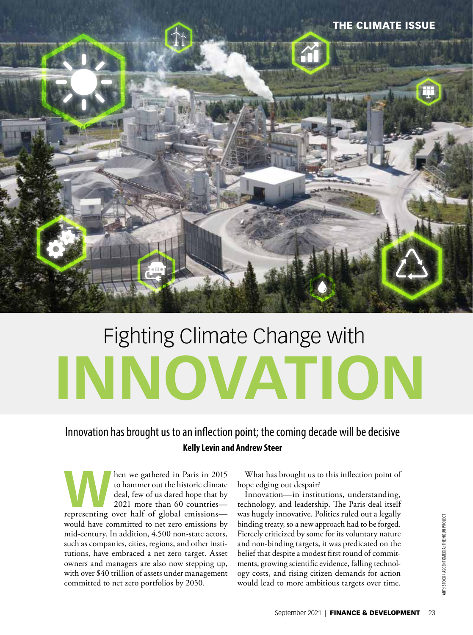

# Fighting Climate Change with **INNOVATION**

# Innovation has brought us to an inflection point; the coming decade will be decisive **Kelly Levin and Andrew Steer**

**When we gathered in Paris in 2015**<br>to hammer out the historic climate<br>deal, few of us dared hope that by<br>2021 more than 60 countries—<br>representing over half of global emissions to hammer out the historic climate deal, few of us dared hope that by 2021 more than 60 countries would have committed to net zero emissions by mid-century. In addition, 4,500 non-state actors, such as companies, cities, regions, and other institutions, have embraced a net zero target. Asset owners and managers are also now stepping up, with over \$40 trillion of assets under management committed to net zero portfolios by 2050.

What has brought us to this inflection point of hope edging out despair?

Innovation—in institutions, understanding, technology, and leadership. The Paris deal itself was hugely innovative. Politics ruled out a legally binding treaty, so a new approach had to be forged. Fiercely criticized by some for its voluntary nature and non-binding targets, it was predicated on the belief that despite a modest first round of commitments, growing scientific evidence, falling technology costs, and rising citizen demands for action would lead to more ambitious targets over time.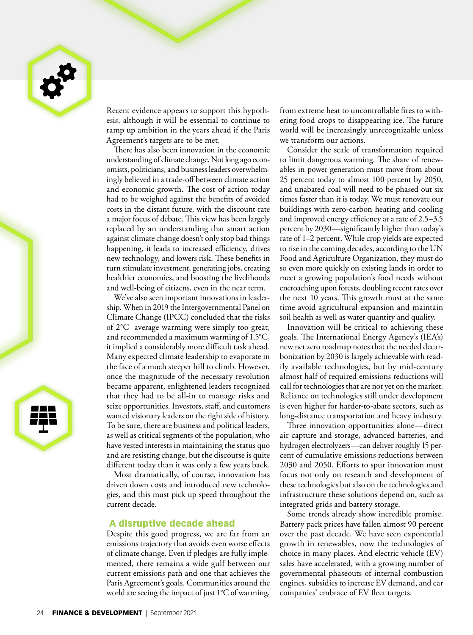

Recent evidence appears to support this hypothesis, although it will be essential to continue to ramp up ambition in the years ahead if the Paris Agreement's targets are to be met.

There has also been innovation in the economic understanding of climate change. Not long ago economists, politicians, and business leaders overwhelmingly believed in a trade-off between climate action and economic growth. The cost of action today had to be weighed against the benefits of avoided costs in the distant future, with the discount rate a major focus of debate. This view has been largely replaced by an understanding that smart action against climate change doesn't only stop bad things happening, it leads to increased efficiency, drives new technology, and lowers risk. These benefits in turn stimulate investment, generating jobs, creating healthier economies, and boosting the livelihoods and well-being of citizens, even in the near term.

We've also seen important innovations in leadership. When in 2019 the Intergovernmental Panel on Climate Change (IPCC) concluded that the risks of 2°C average warming were simply too great, and recommended a maximum warming of 1.5°C, it implied a considerably more difficult task ahead. Many expected climate leadership to evaporate in the face of a much steeper hill to climb. However, once the magnitude of the necessary revolution became apparent, enlightened leaders recognized that they had to be all-in to manage risks and seize opportunities. Investors, staff, and customers wanted visionary leaders on the right side of history. To be sure, there are business and political leaders, as well as critical segments of the population, who have vested interests in maintaining the status quo and are resisting change, but the discourse is quite different today than it was only a few years back.

Most dramatically, of course, innovation has driven down costs and introduced new technologies, and this must pick up speed throughout the current decade.

#### A disruptive decade ahead

Despite this good progress, we are far from an emissions trajectory that avoids even worse effects of climate change. Even if pledges are fully implemented, there remains a wide gulf between our current emissions path and one that achieves the Paris Agreement's goals. Communities around the world are seeing the impact of just 1°C of warming,

from extreme heat to uncontrollable fires to withering food crops to disappearing ice. The future world will be increasingly unrecognizable unless we transform our actions.

Consider the scale of transformation required to limit dangerous warming. The share of renewables in power generation must move from about 25 percent today to almost 100 percent by 2050, and unabated coal will need to be phased out six times faster than it is today. We must renovate our buildings with zero-carbon heating and cooling and improved energy efficiency at a rate of 2.5–3.5 percent by 2030—significantly higher than today's rate of 1–2 percent. While crop yields are expected to rise in the coming decades, according to the UN Food and Agriculture Organization, they must do so even more quickly on existing lands in order to meet a growing population's food needs without encroaching upon forests, doubling recent rates over the next 10 years. This growth must at the same time avoid agricultural expansion and maintain soil health as well as water quantity and quality.

Innovation will be critical to achieving these goals. The International Energy Agency's (IEA's) new net zero roadmap notes that the needed decarbonization by 2030 is largely achievable with readily available technologies, but by mid-century almost half of required emissions reductions will call for technologies that are not yet on the market. Reliance on technologies still under development is even higher for harder-to-abate sectors, such as long-distance transportation and heavy industry.

Three innovation opportunities alone—direct air capture and storage, advanced batteries, and hydrogen electrolyzers—can deliver roughly 15 percent of cumulative emissions reductions between 2030 and 2050. Efforts to spur innovation must focus not only on research and development of these technologies but also on the technologies and infrastructure these solutions depend on, such as integrated grids and battery storage.

Some trends already show incredible promise. Battery pack prices have fallen almost 90 percent over the past decade. We have seen exponential growth in renewables, now the technologies of choice in many places. And electric vehicle (EV) sales have accelerated, with a growing number of governmental phaseouts of internal combustion engines, subsidies to increase EV demand, and car companies' embrace of EV fleet targets.